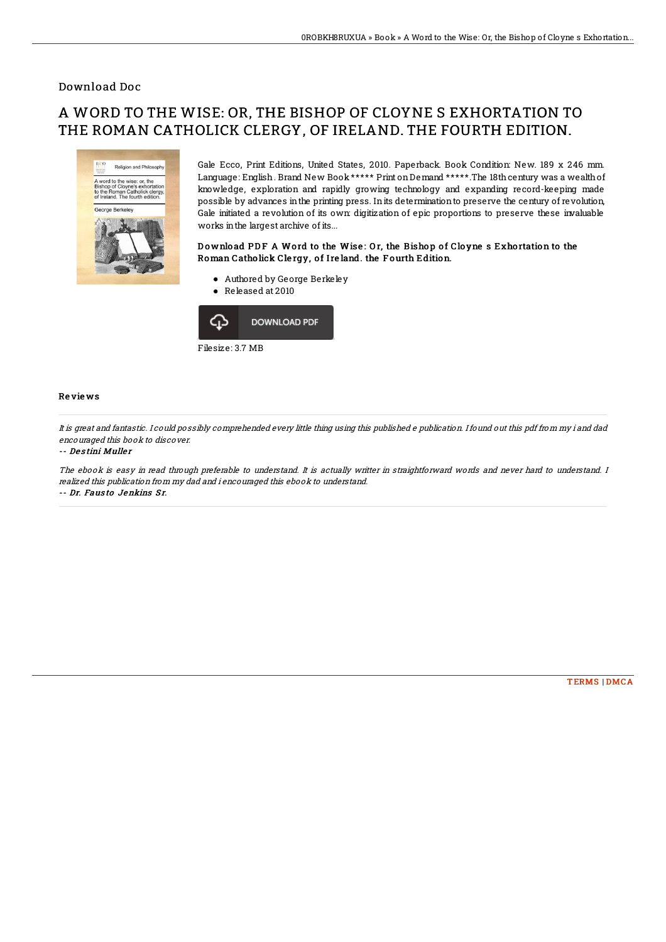### Download Doc

# A WORD TO THE WISE: OR, THE BISHOP OF CLOYNE S EXHORTATION TO THE ROMAN CATHOLICK CLERGY, OF IRELAND. THE FOURTH EDITION.



Gale Ecco, Print Editions, United States, 2010. Paperback. Book Condition: New. 189 x 246 mm. Language: English. Brand New Book \*\*\*\*\* Print on Demand \*\*\*\*\*. The 18th century was a wealth of knowledge, exploration and rapidly growing technology and expanding record-keeping made possible by advances inthe printing press. Inits determinationto preserve the century of revolution, Gale initiated a revolution of its own: digitization of epic proportions to preserve these invaluable works inthe largest archive of its...

### Download PDF A Word to the Wise: Or, the Bishop of Cloyne s Exhortation to the Roman Catholick Clergy, of Ireland. the Fourth Edition.

- Authored by George Berkeley
- Released at 2010



#### Re vie ws

It is great and fantastic. I could possibly comprehended every little thing using this published <sup>e</sup> publication. Ifound out this pdf from my i and dad encouraged this book to discover.

#### -- De s tini Mulle <sup>r</sup>

The ebook is easy in read through preferable to understand. It is actually writter in straightforward words and never hard to understand. I realized this publication from my dad and i encouraged this ebook to understand. -- Dr. Fausto Jenkins Sr.